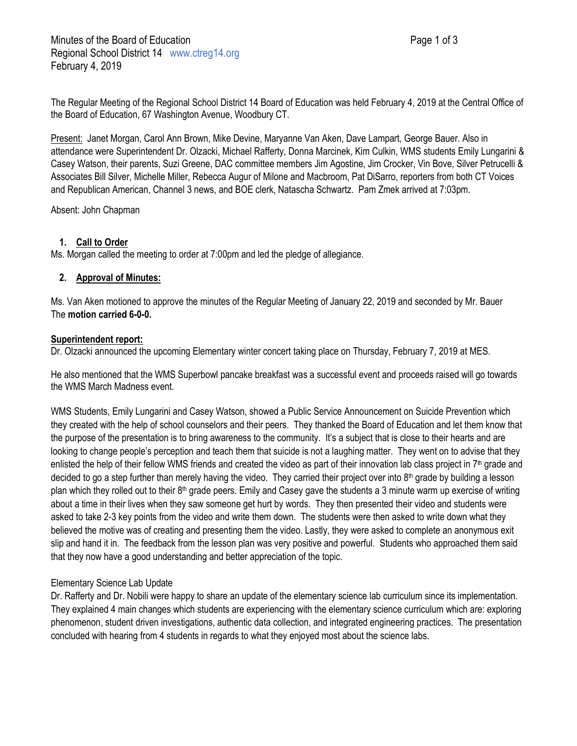The Regular Meeting of the Regional School District 14 Board of Education was held February 4, 2019 at the Central Office of the Board of Education, 67 Washington Avenue, Woodbury CT.

Present: Janet Morgan, Carol Ann Brown, Mike Devine, Maryanne Van Aken, Dave Lampart, George Bauer. Also in attendance were Superintendent Dr. Olzacki, Michael Rafferty, Donna Marcinek, Kim Culkin, WMS students Emily Lungarini & Casey Watson, their parents, Suzi Greene, DAC committee members Jim Agostine, Jim Crocker, Vin Bove, Silver Petrucelli & Associates Bill Silver, Michelle Miller, Rebecca Augur of Milone and Macbroom, Pat DiSarro, reporters from both CT Voices and Republican American, Channel 3 news, and BOE clerk, Natascha Schwartz. Pam Zmek arrived at 7:03pm.

Absent: John Chapman

# **1. Call to Order**

Ms. Morgan called the meeting to order at 7:00pm and led the pledge of allegiance.

# **2. Approval of Minutes:**

Ms. Van Aken motioned to approve the minutes of the Regular Meeting of January 22, 2019 and seconded by Mr. Bauer The **motion carried 6-0-0.**

# **Superintendent report:**

Dr. Olzacki announced the upcoming Elementary winter concert taking place on Thursday, February 7, 2019 at MES.

He also mentioned that the WMS Superbowl pancake breakfast was a successful event and proceeds raised will go towards the WMS March Madness event.

WMS Students, Emily Lungarini and Casey Watson, showed a Public Service Announcement on Suicide Prevention which they created with the help of school counselors and their peers. They thanked the Board of Education and let them know that the purpose of the presentation is to bring awareness to the community. It's a subject that is close to their hearts and are looking to change people's perception and teach them that suicide is not a laughing matter. They went on to advise that they enlisted the help of their fellow WMS friends and created the video as part of their innovation lab class project in  $7<sup>th</sup>$  grade and decided to go a step further than merely having the video. They carried their project over into 8<sup>th</sup> grade by building a lesson plan which they rolled out to their  $8<sup>th</sup>$  grade peers. Emily and Casey gave the students a 3 minute warm up exercise of writing about a time in their lives when they saw someone get hurt by words. They then presented their video and students were asked to take 2-3 key points from the video and write them down. The students were then asked to write down what they believed the motive was of creating and presenting them the video. Lastly, they were asked to complete an anonymous exit slip and hand it in. The feedback from the lesson plan was very positive and powerful. Students who approached them said that they now have a good understanding and better appreciation of the topic.

# Elementary Science Lab Update

Dr. Rafferty and Dr. Nobili were happy to share an update of the elementary science lab curriculum since its implementation. They explained 4 main changes which students are experiencing with the elementary science curriculum which are: exploring phenomenon, student driven investigations, authentic data collection, and integrated engineering practices. The presentation concluded with hearing from 4 students in regards to what they enjoyed most about the science labs.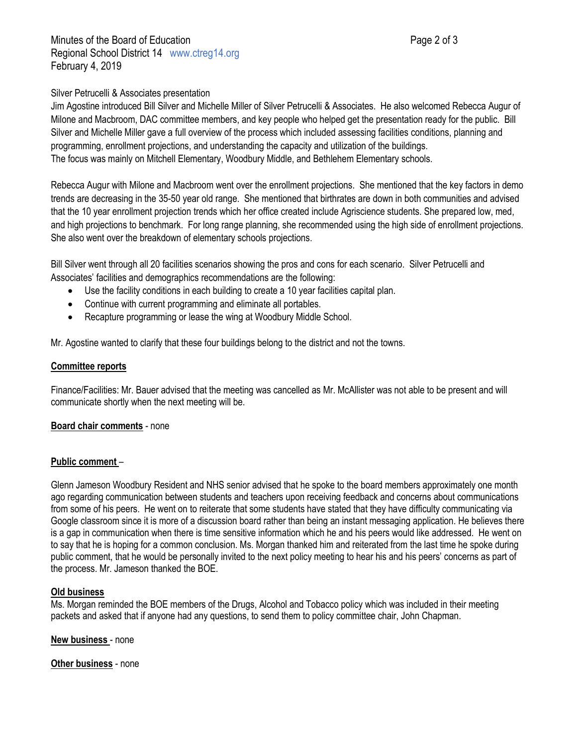Minutes of the Board of Education **Page 2 of 3** and 2 of 3 Regional School District 14 www.ctreg14.org February 4, 2019

## Silver Petrucelli & Associates presentation

Jim Agostine introduced Bill Silver and Michelle Miller of Silver Petrucelli & Associates. He also welcomed Rebecca Augur of Milone and Macbroom, DAC committee members, and key people who helped get the presentation ready for the public. Bill Silver and Michelle Miller gave a full overview of the process which included assessing facilities conditions, planning and programming, enrollment projections, and understanding the capacity and utilization of the buildings. The focus was mainly on Mitchell Elementary, Woodbury Middle, and Bethlehem Elementary schools.

Rebecca Augur with Milone and Macbroom went over the enrollment projections. She mentioned that the key factors in demo trends are decreasing in the 35-50 year old range. She mentioned that birthrates are down in both communities and advised that the 10 year enrollment projection trends which her office created include Agriscience students. She prepared low, med, and high projections to benchmark. For long range planning, she recommended using the high side of enrollment projections. She also went over the breakdown of elementary schools projections.

Bill Silver went through all 20 facilities scenarios showing the pros and cons for each scenario. Silver Petrucelli and Associates' facilities and demographics recommendations are the following:

- Use the facility conditions in each building to create a 10 year facilities capital plan.
- Continue with current programming and eliminate all portables.
- Recapture programming or lease the wing at Woodbury Middle School.

Mr. Agostine wanted to clarify that these four buildings belong to the district and not the towns.

## **Committee reports**

Finance/Facilities: Mr. Bauer advised that the meeting was cancelled as Mr. McAllister was not able to be present and will communicate shortly when the next meeting will be.

## **Board chair comments** - none

## **Public comment** –

Glenn Jameson Woodbury Resident and NHS senior advised that he spoke to the board members approximately one month ago regarding communication between students and teachers upon receiving feedback and concerns about communications from some of his peers. He went on to reiterate that some students have stated that they have difficulty communicating via Google classroom since it is more of a discussion board rather than being an instant messaging application. He believes there is a gap in communication when there is time sensitive information which he and his peers would like addressed. He went on to say that he is hoping for a common conclusion. Ms. Morgan thanked him and reiterated from the last time he spoke during public comment, that he would be personally invited to the next policy meeting to hear his and his peers' concerns as part of the process. Mr. Jameson thanked the BOE.

## **Old business**

Ms. Morgan reminded the BOE members of the Drugs, Alcohol and Tobacco policy which was included in their meeting packets and asked that if anyone had any questions, to send them to policy committee chair, John Chapman.

**New business** - none

**Other business** - none